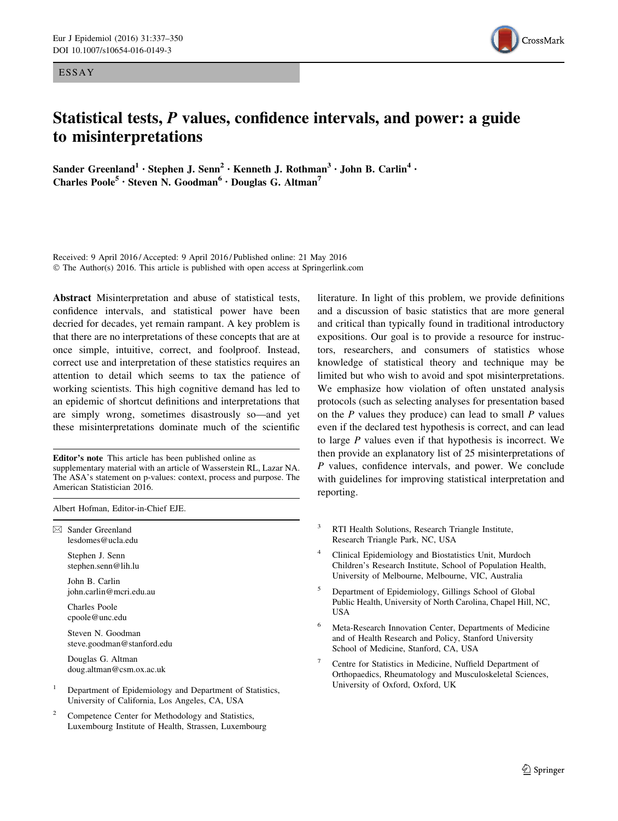ESSAY

# Statistical tests, P values, confidence intervals, and power: a guide to misinterpretations

Sander Greenland<sup>1</sup> • Stephen J. Senn<sup>2</sup> • Kenneth J. Rothman<sup>3</sup> • John B. Carlin<sup>4</sup> • Charles Poole<sup>5</sup> • Steven N. Goodman<sup>6</sup> • Douglas G. Altman<sup>7</sup>

Received: 9 April 2016 / Accepted: 9 April 2016 / Published online: 21 May 2016 © The Author(s) 2016. This article is published with open access at Springerlink.com

Abstract Misinterpretation and abuse of statistical tests, confidence intervals, and statistical power have been decried for decades, yet remain rampant. A key problem is that there are no interpretations of these concepts that are at once simple, intuitive, correct, and foolproof. Instead, correct use and interpretation of these statistics requires an attention to detail which seems to tax the patience of working scientists. This high cognitive demand has led to an epidemic of shortcut definitions and interpretations that are simply wrong, sometimes disastrously so—and yet these misinterpretations dominate much of the scientific

Editor's note This article has been published online as supplementary material with an article of Wasserstein RL, Lazar NA. The ASA's statement on p-values: context, process and purpose. The American Statistician 2016.

Albert Hofman, Editor-in-Chief EJE.

| Sander Greenland<br>lesdomes@ucla.edu           |
|-------------------------------------------------|
| Stephen J. Senn<br>stephen.senn@lih.lu          |
| John B. Carlin<br>john.carlin@mcri.edu.au       |
| Charles Poole<br>cpoole@unc.edu                 |
| Steven N. Goodman<br>steve.goodman@stanford.edu |
| Douglas G. Altman<br>doug.altman@csm.ox.ac.uk   |
|                                                 |

- <sup>1</sup> Department of Epidemiology and Department of Statistics, University of California, Los Angeles, CA, USA
- Competence Center for Methodology and Statistics, Luxembourg Institute of Health, Strassen, Luxembourg

literature. In light of this problem, we provide definitions and a discussion of basic statistics that are more general and critical than typically found in traditional introductory expositions. Our goal is to provide a resource for instructors, researchers, and consumers of statistics whose knowledge of statistical theory and technique may be limited but who wish to avoid and spot misinterpretations. We emphasize how violation of often unstated analysis protocols (such as selecting analyses for presentation based on the  $P$  values they produce) can lead to small  $P$  values even if the declared test hypothesis is correct, and can lead to large P values even if that hypothesis is incorrect. We then provide an explanatory list of 25 misinterpretations of P values, confidence intervals, and power. We conclude with guidelines for improving statistical interpretation and reporting.

- <sup>3</sup> RTI Health Solutions, Research Triangle Institute, Research Triangle Park, NC, USA
- <sup>4</sup> Clinical Epidemiology and Biostatistics Unit, Murdoch Children's Research Institute, School of Population Health, University of Melbourne, Melbourne, VIC, Australia
- <sup>5</sup> Department of Epidemiology, Gillings School of Global Public Health, University of North Carolina, Chapel Hill, NC, USA
- Meta-Research Innovation Center, Departments of Medicine and of Health Research and Policy, Stanford University School of Medicine, Stanford, CA, USA
- <sup>7</sup> Centre for Statistics in Medicine, Nuffield Department of Orthopaedics, Rheumatology and Musculoskeletal Sciences, University of Oxford, Oxford, UK

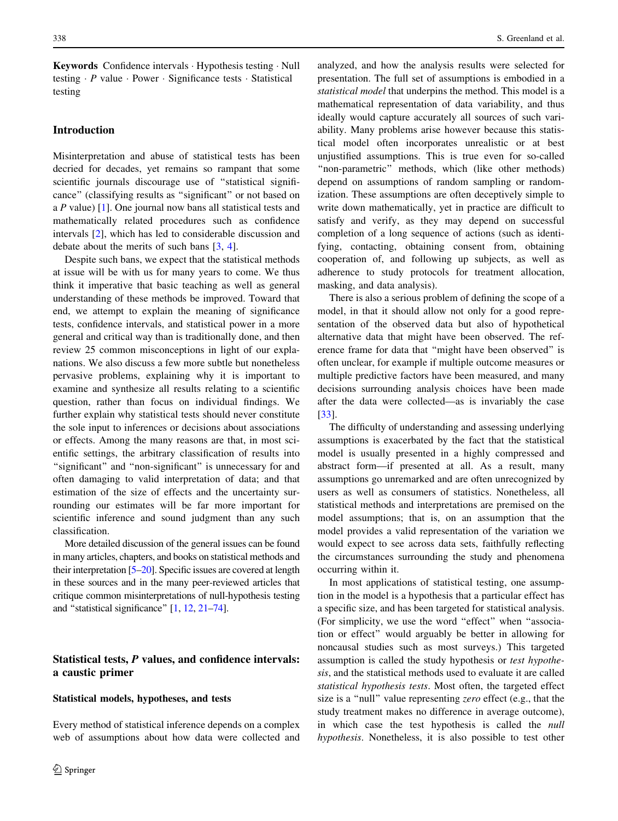Keywords Confidence intervals · Hypothesis testing · Null testing  $\cdot$  P value  $\cdot$  Power  $\cdot$  Significance tests  $\cdot$  Statistical testing

### Introduction

Misinterpretation and abuse of statistical tests has been decried for decades, yet remains so rampant that some scientific journals discourage use of ''statistical significance'' (classifying results as ''significant'' or not based on a  $P$  value) [[1\]](#page-11-0). One journal now bans all statistical tests and mathematically related procedures such as confidence intervals [[2](#page-11-0)], which has led to considerable discussion and debate about the merits of such bans [\[3](#page-11-0), [4](#page-11-0)].

Despite such bans, we expect that the statistical methods at issue will be with us for many years to come. We thus think it imperative that basic teaching as well as general understanding of these methods be improved. Toward that end, we attempt to explain the meaning of significance tests, confidence intervals, and statistical power in a more general and critical way than is traditionally done, and then review 25 common misconceptions in light of our explanations. We also discuss a few more subtle but nonetheless pervasive problems, explaining why it is important to examine and synthesize all results relating to a scientific question, rather than focus on individual findings. We further explain why statistical tests should never constitute the sole input to inferences or decisions about associations or effects. Among the many reasons are that, in most scientific settings, the arbitrary classification of results into "significant" and "non-significant" is unnecessary for and often damaging to valid interpretation of data; and that estimation of the size of effects and the uncertainty surrounding our estimates will be far more important for scientific inference and sound judgment than any such classification.

More detailed discussion of the general issues can be found in many articles, chapters, and books on statistical methods and their interpretation [[5–20\]](#page-11-0). Specific issues are covered at length in these sources and in the many peer-reviewed articles that critique common misinterpretations of null-hypothesis testing and ''statistical significance'' [\[1,](#page-11-0) [12](#page-11-0), [21](#page-11-0)[–74](#page-12-0)].

# Statistical tests, P values, and confidence intervals: a caustic primer

## Statistical models, hypotheses, and tests

Every method of statistical inference depends on a complex web of assumptions about how data were collected and

analyzed, and how the analysis results were selected for presentation. The full set of assumptions is embodied in a statistical model that underpins the method. This model is a mathematical representation of data variability, and thus ideally would capture accurately all sources of such variability. Many problems arise however because this statistical model often incorporates unrealistic or at best unjustified assumptions. This is true even for so-called "non-parametric" methods, which (like other methods) depend on assumptions of random sampling or randomization. These assumptions are often deceptively simple to write down mathematically, yet in practice are difficult to satisfy and verify, as they may depend on successful completion of a long sequence of actions (such as identifying, contacting, obtaining consent from, obtaining cooperation of, and following up subjects, as well as adherence to study protocols for treatment allocation, masking, and data analysis).

There is also a serious problem of defining the scope of a model, in that it should allow not only for a good representation of the observed data but also of hypothetical alternative data that might have been observed. The reference frame for data that ''might have been observed'' is often unclear, for example if multiple outcome measures or multiple predictive factors have been measured, and many decisions surrounding analysis choices have been made after the data were collected—as is invariably the case [\[33](#page-11-0)].

The difficulty of understanding and assessing underlying assumptions is exacerbated by the fact that the statistical model is usually presented in a highly compressed and abstract form—if presented at all. As a result, many assumptions go unremarked and are often unrecognized by users as well as consumers of statistics. Nonetheless, all statistical methods and interpretations are premised on the model assumptions; that is, on an assumption that the model provides a valid representation of the variation we would expect to see across data sets, faithfully reflecting the circumstances surrounding the study and phenomena occurring within it.

In most applications of statistical testing, one assumption in the model is a hypothesis that a particular effect has a specific size, and has been targeted for statistical analysis. (For simplicity, we use the word ''effect'' when ''association or effect'' would arguably be better in allowing for noncausal studies such as most surveys.) This targeted assumption is called the study hypothesis or test hypothesis, and the statistical methods used to evaluate it are called statistical hypothesis tests. Most often, the targeted effect size is a "null" value representing *zero* effect (e.g., that the study treatment makes no difference in average outcome), in which case the test hypothesis is called the null hypothesis. Nonetheless, it is also possible to test other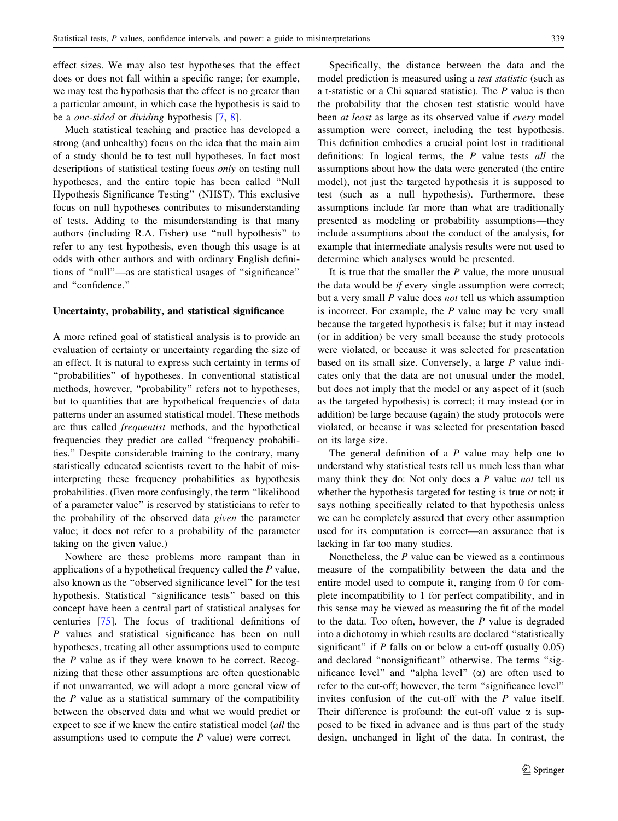effect sizes. We may also test hypotheses that the effect does or does not fall within a specific range; for example, we may test the hypothesis that the effect is no greater than a particular amount, in which case the hypothesis is said to be a one-sided or dividing hypothesis [[7](#page-11-0), [8\]](#page-11-0).

Much statistical teaching and practice has developed a strong (and unhealthy) focus on the idea that the main aim of a study should be to test null hypotheses. In fact most descriptions of statistical testing focus only on testing null hypotheses, and the entire topic has been called ''Null Hypothesis Significance Testing'' (NHST). This exclusive focus on null hypotheses contributes to misunderstanding of tests. Adding to the misunderstanding is that many authors (including R.A. Fisher) use ''null hypothesis'' to refer to any test hypothesis, even though this usage is at odds with other authors and with ordinary English definitions of ''null''—as are statistical usages of ''significance'' and ''confidence.''

#### Uncertainty, probability, and statistical significance

A more refined goal of statistical analysis is to provide an evaluation of certainty or uncertainty regarding the size of an effect. It is natural to express such certainty in terms of "probabilities" of hypotheses. In conventional statistical methods, however, ''probability'' refers not to hypotheses, but to quantities that are hypothetical frequencies of data patterns under an assumed statistical model. These methods are thus called frequentist methods, and the hypothetical frequencies they predict are called ''frequency probabilities.'' Despite considerable training to the contrary, many statistically educated scientists revert to the habit of misinterpreting these frequency probabilities as hypothesis probabilities. (Even more confusingly, the term ''likelihood of a parameter value'' is reserved by statisticians to refer to the probability of the observed data given the parameter value; it does not refer to a probability of the parameter taking on the given value.)

Nowhere are these problems more rampant than in applications of a hypothetical frequency called the P value, also known as the ''observed significance level'' for the test hypothesis. Statistical ''significance tests'' based on this concept have been a central part of statistical analyses for centuries [\[75](#page-12-0)]. The focus of traditional definitions of P values and statistical significance has been on null hypotheses, treating all other assumptions used to compute the  $P$  value as if they were known to be correct. Recognizing that these other assumptions are often questionable if not unwarranted, we will adopt a more general view of the  $P$  value as a statistical summary of the compatibility between the observed data and what we would predict or expect to see if we knew the entire statistical model (all the assumptions used to compute the P value) were correct.

Specifically, the distance between the data and the model prediction is measured using a test statistic (such as a t-statistic or a Chi squared statistic). The P value is then the probability that the chosen test statistic would have been at least as large as its observed value if every model assumption were correct, including the test hypothesis. This definition embodies a crucial point lost in traditional definitions: In logical terms, the  $P$  value tests all the assumptions about how the data were generated (the entire model), not just the targeted hypothesis it is supposed to test (such as a null hypothesis). Furthermore, these assumptions include far more than what are traditionally presented as modeling or probability assumptions—they include assumptions about the conduct of the analysis, for example that intermediate analysis results were not used to determine which analyses would be presented.

It is true that the smaller the  $P$  value, the more unusual the data would be if every single assumption were correct; but a very small P value does not tell us which assumption is incorrect. For example, the  $P$  value may be very small because the targeted hypothesis is false; but it may instead (or in addition) be very small because the study protocols were violated, or because it was selected for presentation based on its small size. Conversely, a large P value indicates only that the data are not unusual under the model, but does not imply that the model or any aspect of it (such as the targeted hypothesis) is correct; it may instead (or in addition) be large because (again) the study protocols were violated, or because it was selected for presentation based on its large size.

The general definition of a  $P$  value may help one to understand why statistical tests tell us much less than what many think they do: Not only does a  $P$  value not tell us whether the hypothesis targeted for testing is true or not; it says nothing specifically related to that hypothesis unless we can be completely assured that every other assumption used for its computation is correct—an assurance that is lacking in far too many studies.

Nonetheless, the P value can be viewed as a continuous measure of the compatibility between the data and the entire model used to compute it, ranging from 0 for complete incompatibility to 1 for perfect compatibility, and in this sense may be viewed as measuring the fit of the model to the data. Too often, however, the  $P$  value is degraded into a dichotomy in which results are declared ''statistically significant" if  $P$  falls on or below a cut-off (usually 0.05) and declared ''nonsignificant'' otherwise. The terms ''significance level" and "alpha level"  $(\alpha)$  are often used to refer to the cut-off; however, the term ''significance level'' invites confusion of the cut-off with the P value itself. Their difference is profound: the cut-off value  $\alpha$  is supposed to be fixed in advance and is thus part of the study design, unchanged in light of the data. In contrast, the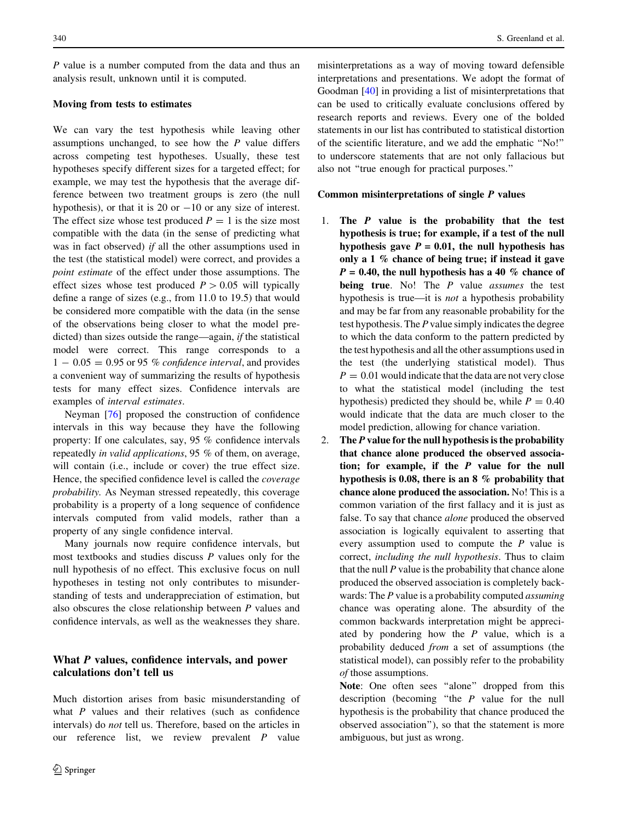P value is a number computed from the data and thus an analysis result, unknown until it is computed.

#### Moving from tests to estimates

We can vary the test hypothesis while leaving other assumptions unchanged, to see how the  $P$  value differs across competing test hypotheses. Usually, these test hypotheses specify different sizes for a targeted effect; for example, we may test the hypothesis that the average difference between two treatment groups is zero (the null hypothesis), or that it is 20 or  $-10$  or any size of interest. The effect size whose test produced  $P = 1$  is the size most compatible with the data (in the sense of predicting what was in fact observed) if all the other assumptions used in the test (the statistical model) were correct, and provides a point estimate of the effect under those assumptions. The effect sizes whose test produced  $P > 0.05$  will typically define a range of sizes (e.g., from 11.0 to 19.5) that would be considered more compatible with the data (in the sense of the observations being closer to what the model predicted) than sizes outside the range—again, *if* the statistical model were correct. This range corresponds to a  $1 - 0.05 = 0.95$  or 95 % confidence interval, and provides a convenient way of summarizing the results of hypothesis tests for many effect sizes. Confidence intervals are examples of interval estimates.

Neyman [[76\]](#page-12-0) proposed the construction of confidence intervals in this way because they have the following property: If one calculates, say, 95 % confidence intervals repeatedly in valid applications, 95 % of them, on average, will contain (i.e., include or cover) the true effect size. Hence, the specified confidence level is called the coverage probability. As Neyman stressed repeatedly, this coverage probability is a property of a long sequence of confidence intervals computed from valid models, rather than a property of any single confidence interval.

Many journals now require confidence intervals, but most textbooks and studies discuss P values only for the null hypothesis of no effect. This exclusive focus on null hypotheses in testing not only contributes to misunderstanding of tests and underappreciation of estimation, but also obscures the close relationship between P values and confidence intervals, as well as the weaknesses they share.

# What P values, confidence intervals, and power calculations don't tell us

Much distortion arises from basic misunderstanding of what  $P$  values and their relatives (such as confidence intervals) do not tell us. Therefore, based on the articles in our reference list, we review prevalent P value

misinterpretations as a way of moving toward defensible interpretations and presentations. We adopt the format of Goodman [[40\]](#page-11-0) in providing a list of misinterpretations that can be used to critically evaluate conclusions offered by research reports and reviews. Every one of the bolded statements in our list has contributed to statistical distortion of the scientific literature, and we add the emphatic ''No!'' to underscore statements that are not only fallacious but also not ''true enough for practical purposes.''

#### Common misinterpretations of single P values

- 1. The P value is the probability that the test hypothesis is true; for example, if a test of the null hypothesis gave  $P = 0.01$ , the null hypothesis has only a 1 % chance of being true; if instead it gave  $P = 0.40$ , the null hypothesis has a 40 % chance of being true. No! The  $P$  value assumes the test hypothesis is true—it is not a hypothesis probability and may be far from any reasonable probability for the test hypothesis. The P value simply indicates the degree to which the data conform to the pattern predicted by the test hypothesis and all the other assumptions used in the test (the underlying statistical model). Thus  $P = 0.01$  would indicate that the data are not very close to what the statistical model (including the test hypothesis) predicted they should be, while  $P = 0.40$ would indicate that the data are much closer to the model prediction, allowing for chance variation.
- 2. The  $P$  value for the null hypothesis is the probability that chance alone produced the observed association; for example, if the P value for the null hypothesis is 0.08, there is an 8 % probability that chance alone produced the association. No! This is a common variation of the first fallacy and it is just as false. To say that chance alone produced the observed association is logically equivalent to asserting that every assumption used to compute the  $P$  value is correct, including the null hypothesis. Thus to claim that the null  $P$  value is the probability that chance alone produced the observed association is completely backwards: The P value is a probability computed *assuming* chance was operating alone. The absurdity of the common backwards interpretation might be appreciated by pondering how the  $P$  value, which is a probability deduced from a set of assumptions (the statistical model), can possibly refer to the probability of those assumptions.

Note: One often sees "alone" dropped from this description (becoming "the  $P$  value for the null hypothesis is the probability that chance produced the observed association''), so that the statement is more ambiguous, but just as wrong.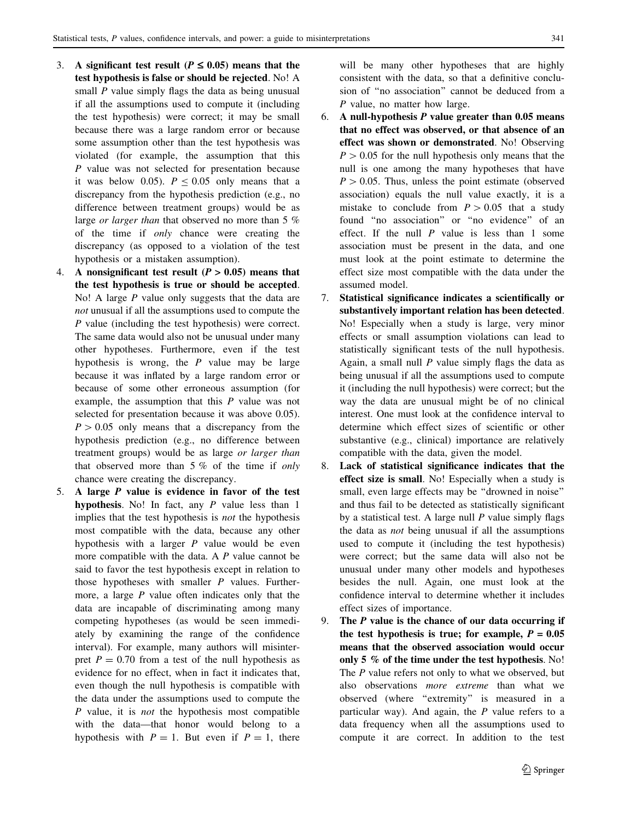- 3. A significant test result ( $P \le 0.05$ ) means that the test hypothesis is false or should be rejected. No! A will be many other hypotheses that are highly consistent with the data, so that a definitive conclusion of ''no association'' cannot be deduced from a
	- small P value simply flags the data as being unusual if all the assumptions used to compute it (including the test hypothesis) were correct; it may be small because there was a large random error or because some assumption other than the test hypothesis was violated (for example, the assumption that this P value was not selected for presentation because it was below 0.05).  $P \le 0.05$  only means that a discrepancy from the hypothesis prediction (e.g., no difference between treatment groups) would be as large *or larger than* that observed no more than 5 % of the time if only chance were creating the discrepancy (as opposed to a violation of the test hypothesis or a mistaken assumption).
- 4. A nonsignificant test result  $(P > 0.05)$  means that the test hypothesis is true or should be accepted. No! A large  $P$  value only suggests that the data are not unusual if all the assumptions used to compute the P value (including the test hypothesis) were correct. The same data would also not be unusual under many other hypotheses. Furthermore, even if the test hypothesis is wrong, the  $P$  value may be large because it was inflated by a large random error or because of some other erroneous assumption (for example, the assumption that this  $P$  value was not selected for presentation because it was above 0.05).  $P > 0.05$  only means that a discrepancy from the hypothesis prediction (e.g., no difference between treatment groups) would be as large or larger than that observed more than 5 % of the time if only chance were creating the discrepancy.
- 5. A large P value is evidence in favor of the test hypothesis. No! In fact, any P value less than 1 implies that the test hypothesis is not the hypothesis most compatible with the data, because any other hypothesis with a larger  $P$  value would be even more compatible with the data. A P value cannot be said to favor the test hypothesis except in relation to those hypotheses with smaller  $P$  values. Furthermore, a large  $P$  value often indicates only that the data are incapable of discriminating among many competing hypotheses (as would be seen immediately by examining the range of the confidence interval). For example, many authors will misinterpret  $P = 0.70$  from a test of the null hypothesis as evidence for no effect, when in fact it indicates that, even though the null hypothesis is compatible with the data under the assumptions used to compute the P value, it is not the hypothesis most compatible with the data—that honor would belong to a hypothesis with  $P = 1$ . But even if  $P = 1$ , there
- P value, no matter how large. 6. A null-hypothesis  $P$  value greater than 0.05 means that no effect was observed, or that absence of an effect was shown or demonstrated. No! Observing  $P > 0.05$  for the null hypothesis only means that the null is one among the many hypotheses that have  $P > 0.05$ . Thus, unless the point estimate (observed association) equals the null value exactly, it is a mistake to conclude from  $P > 0.05$  that a study found ''no association'' or ''no evidence'' of an effect. If the null  $P$  value is less than 1 some association must be present in the data, and one must look at the point estimate to determine the effect size most compatible with the data under the assumed model.
- 7. Statistical significance indicates a scientifically or substantively important relation has been detected. No! Especially when a study is large, very minor effects or small assumption violations can lead to statistically significant tests of the null hypothesis. Again, a small null  $P$  value simply flags the data as being unusual if all the assumptions used to compute it (including the null hypothesis) were correct; but the way the data are unusual might be of no clinical interest. One must look at the confidence interval to determine which effect sizes of scientific or other substantive (e.g., clinical) importance are relatively compatible with the data, given the model.
- 8. Lack of statistical significance indicates that the effect size is small. No! Especially when a study is small, even large effects may be ''drowned in noise'' and thus fail to be detected as statistically significant by a statistical test. A large null  $P$  value simply flags the data as not being unusual if all the assumptions used to compute it (including the test hypothesis) were correct; but the same data will also not be unusual under many other models and hypotheses besides the null. Again, one must look at the confidence interval to determine whether it includes effect sizes of importance.
- 9. The  $P$  value is the chance of our data occurring if the test hypothesis is true; for example,  $P = 0.05$ means that the observed association would occur only 5 % of the time under the test hypothesis. No! The P value refers not only to what we observed, but also observations more extreme than what we observed (where ''extremity'' is measured in a particular way). And again, the  $P$  value refers to a data frequency when all the assumptions used to compute it are correct. In addition to the test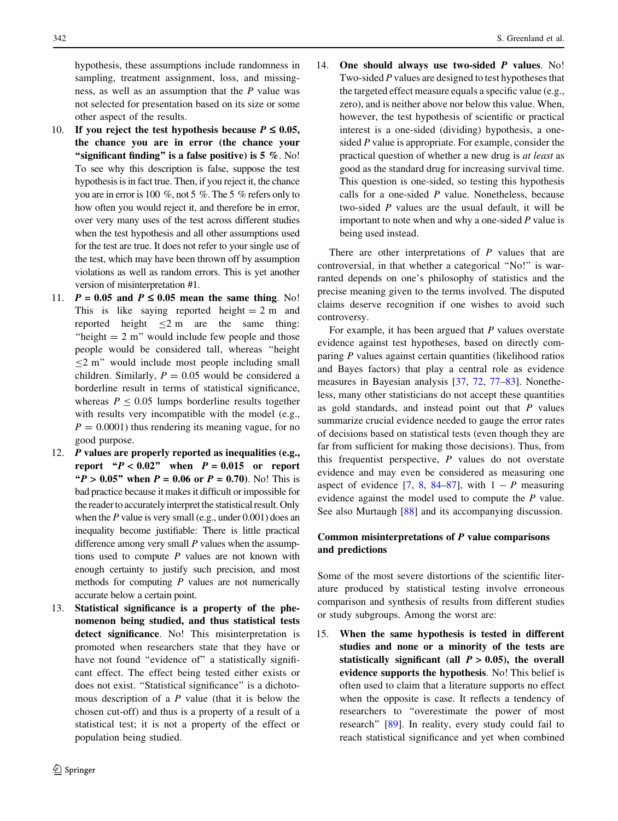hypothesis, these assumptions include randomness in sampling, treatment assignment, loss, and missingness, as well as an assumption that the P value was not selected for presentation based on its size or some other aspect of the results.

- 10. If you reject the test hypothesis because  $P \le 0.05$ , the chance you are in error (the chance your "significant finding" is a false positive) is  $5\%$ . No! To see why this description is false, suppose the test hypothesis is in fact true. Then, if you reject it, the chance you are in error is 100 %, not 5 %. The 5 % refers only to how often you would reject it, and therefore be in error, over very many uses of the test across different studies when the test hypothesis and all other assumptions used for the test are true. It does not refer to your single use of the test, which may have been thrown off by assumption violations as well as random errors. This is yet another version of misinterpretation #1.
- 11.  $P = 0.05$  and  $P \le 0.05$  mean the same thing. No! This is like saying reported height  $= 2 \text{ m}$  and reported height  $\leq 2$  m are the same thing: "height  $= 2$  m" would include few people and those people would be considered tall, whereas ''height  $\leq$ 2 m" would include most people including small children. Similarly,  $P = 0.05$  would be considered a borderline result in terms of statistical significance, whereas  $P \leq 0.05$  lumps borderline results together with results very incompatible with the model (e.g.,  $P = 0.0001$ ) thus rendering its meaning vague, for no good purpose.
- 12. P values are properly reported as inequalities (e.g., report  $P < 0.02$ " when  $P = 0.015$  or report " $P > 0.05$ " when  $P = 0.06$  or  $P = 0.70$ ). No! This is bad practice because it makes it difficult or impossible for the reader to accurately interpret the statistical result. Only when the  $P$  value is very small (e.g., under 0.001) does an inequality become justifiable: There is little practical difference among very small  $P$  values when the assumptions used to compute  $P$  values are not known with enough certainty to justify such precision, and most methods for computing  $P$  values are not numerically accurate below a certain point.
- 13. Statistical significance is a property of the phenomenon being studied, and thus statistical tests detect significance. No! This misinterpretation is promoted when researchers state that they have or have not found "evidence of" a statistically significant effect. The effect being tested either exists or does not exist. ''Statistical significance'' is a dichotomous description of a  $P$  value (that it is below the chosen cut-off) and thus is a property of a result of a statistical test; it is not a property of the effect or population being studied.

14. One should always use two-sided P values. No! Two-sided P values are designed to test hypotheses that the targeted effect measure equals a specific value (e.g., zero), and is neither above nor below this value. When, however, the test hypothesis of scientific or practical interest is a one-sided (dividing) hypothesis, a onesided P value is appropriate. For example, consider the practical question of whether a new drug is at least as good as the standard drug for increasing survival time. This question is one-sided, so testing this hypothesis calls for a one-sided P value. Nonetheless, because two-sided  $P$  values are the usual default, it will be important to note when and why a one-sided  $P$  value is being used instead.

There are other interpretations of  $P$  values that are controversial, in that whether a categorical ''No!'' is warranted depends on one's philosophy of statistics and the precise meaning given to the terms involved. The disputed claims deserve recognition if one wishes to avoid such controversy.

For example, it has been argued that  $P$  values overstate evidence against test hypotheses, based on directly comparing P values against certain quantities (likelihood ratios and Bayes factors) that play a central role as evidence measures in Bayesian analysis [\[37](#page-11-0), [72,](#page-12-0) [77–83](#page-12-0)]. Nonetheless, many other statisticians do not accept these quantities as gold standards, and instead point out that  $P$  values summarize crucial evidence needed to gauge the error rates of decisions based on statistical tests (even though they are far from sufficient for making those decisions). Thus, from this frequentist perspective, P values do not overstate evidence and may even be considered as measuring one aspect of evidence  $[7, 8, 84-87]$  $[7, 8, 84-87]$  $[7, 8, 84-87]$  $[7, 8, 84-87]$  $[7, 8, 84-87]$ , with  $1 - P$  measuring evidence against the model used to compute the P value. See also Murtaugh [\[88](#page-12-0)] and its accompanying discussion.

# Common misinterpretations of P value comparisons and predictions

Some of the most severe distortions of the scientific literature produced by statistical testing involve erroneous comparison and synthesis of results from different studies or study subgroups. Among the worst are:

15. When the same hypothesis is tested in different studies and none or a minority of the tests are statistically significant (all  $P > 0.05$ ), the overall evidence supports the hypothesis. No! This belief is often used to claim that a literature supports no effect when the opposite is case. It reflects a tendency of researchers to ''overestimate the power of most research'' [\[89](#page-12-0)]. In reality, every study could fail to reach statistical significance and yet when combined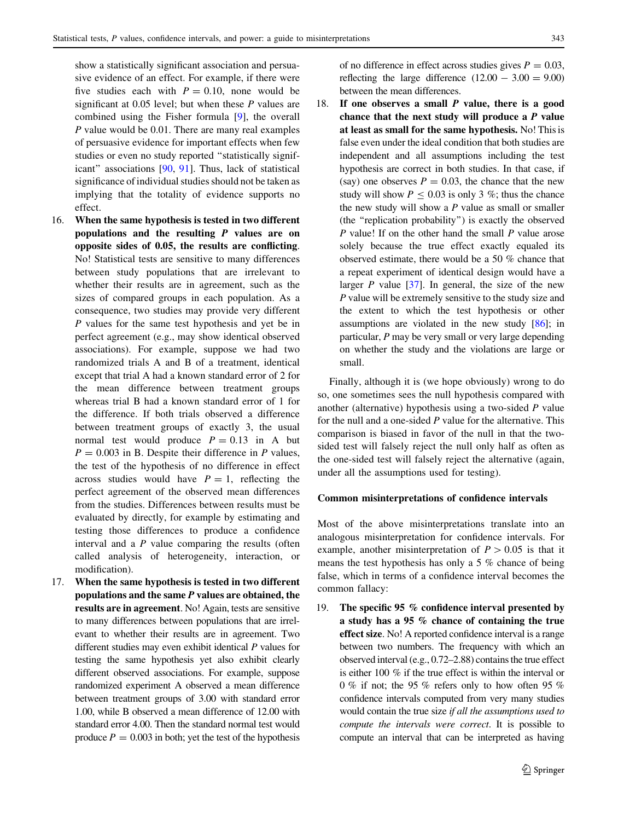show a statistically significant association and persuasive evidence of an effect. For example, if there were five studies each with  $P = 0.10$ , none would be significant at  $0.05$  level; but when these  $P$  values are combined using the Fisher formula [[9\]](#page-11-0), the overall P value would be 0.01. There are many real examples of persuasive evidence for important effects when few studies or even no study reported ''statistically significant'' associations [[90,](#page-12-0) [91\]](#page-12-0). Thus, lack of statistical significance of individual studies should not be taken as implying that the totality of evidence supports no effect.

- 16. When the same hypothesis is tested in two different populations and the resulting  $P$  values are on opposite sides of 0.05, the results are conflicting. No! Statistical tests are sensitive to many differences between study populations that are irrelevant to whether their results are in agreement, such as the sizes of compared groups in each population. As a consequence, two studies may provide very different P values for the same test hypothesis and yet be in perfect agreement (e.g., may show identical observed associations). For example, suppose we had two randomized trials A and B of a treatment, identical except that trial A had a known standard error of 2 for the mean difference between treatment groups whereas trial B had a known standard error of 1 for the difference. If both trials observed a difference between treatment groups of exactly 3, the usual normal test would produce  $P = 0.13$  in A but  $P = 0.003$  in B. Despite their difference in P values, the test of the hypothesis of no difference in effect across studies would have  $P = 1$ , reflecting the perfect agreement of the observed mean differences from the studies. Differences between results must be evaluated by directly, for example by estimating and testing those differences to produce a confidence interval and a  $P$  value comparing the results (often called analysis of heterogeneity, interaction, or modification).
- 17. When the same hypothesis is tested in two different populations and the same  $P$  values are obtained, the results are in agreement. No! Again, tests are sensitive to many differences between populations that are irrelevant to whether their results are in agreement. Two different studies may even exhibit identical P values for testing the same hypothesis yet also exhibit clearly different observed associations. For example, suppose randomized experiment A observed a mean difference between treatment groups of 3.00 with standard error 1.00, while B observed a mean difference of 12.00 with standard error 4.00. Then the standard normal test would produce  $P = 0.003$  in both; yet the test of the hypothesis

of no difference in effect across studies gives  $P = 0.03$ , reflecting the large difference  $(12.00 - 3.00 = 9.00)$ between the mean differences.

18. If one observes a small P value, there is a good chance that the next study will produce a P value at least as small for the same hypothesis. No! This is false even under the ideal condition that both studies are independent and all assumptions including the test hypothesis are correct in both studies. In that case, if (say) one observes  $P = 0.03$ , the chance that the new study will show  $P \le 0.03$  is only 3 %; thus the chance the new study will show a  $P$  value as small or smaller (the ''replication probability'') is exactly the observed P value! If on the other hand the small P value arose solely because the true effect exactly equaled its observed estimate, there would be a 50 % chance that a repeat experiment of identical design would have a larger  $P$  value [\[37](#page-11-0)]. In general, the size of the new P value will be extremely sensitive to the study size and the extent to which the test hypothesis or other assumptions are violated in the new study [[86](#page-12-0)]; in particular, P may be very small or very large depending on whether the study and the violations are large or small.

Finally, although it is (we hope obviously) wrong to do so, one sometimes sees the null hypothesis compared with another (alternative) hypothesis using a two-sided P value for the null and a one-sided  $P$  value for the alternative. This comparison is biased in favor of the null in that the twosided test will falsely reject the null only half as often as the one-sided test will falsely reject the alternative (again, under all the assumptions used for testing).

#### Common misinterpretations of confidence intervals

Most of the above misinterpretations translate into an analogous misinterpretation for confidence intervals. For example, another misinterpretation of  $P > 0.05$  is that it means the test hypothesis has only a 5 % chance of being false, which in terms of a confidence interval becomes the common fallacy:

19. The specific 95 % confidence interval presented by a study has a 95 % chance of containing the true effect size. No! A reported confidence interval is a range between two numbers. The frequency with which an observed interval (e.g., 0.72–2.88) contains the true effect is either 100 % if the true effect is within the interval or 0 % if not; the 95 % refers only to how often 95 % confidence intervals computed from very many studies would contain the true size if all the assumptions used to compute the intervals were correct. It is possible to compute an interval that can be interpreted as having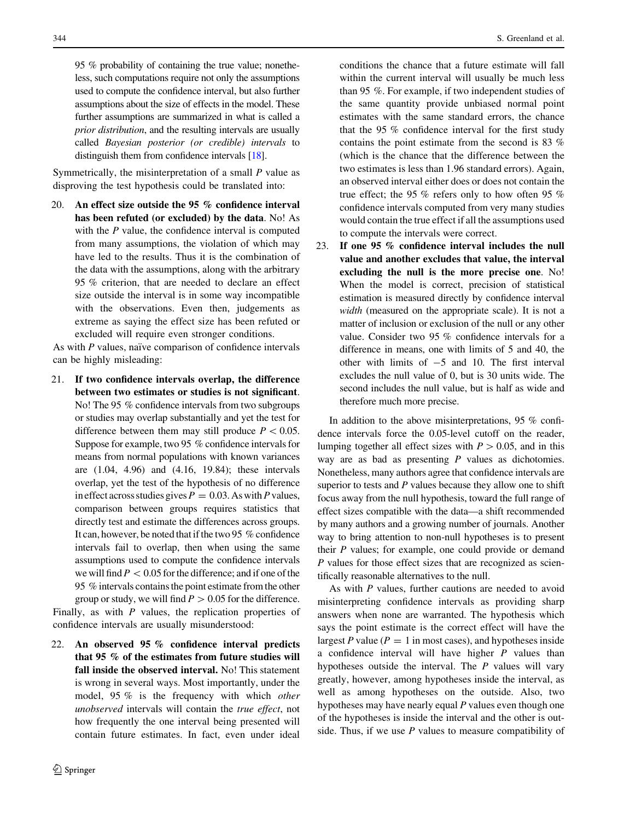95 % probability of containing the true value; nonetheless, such computations require not only the assumptions used to compute the confidence interval, but also further assumptions about the size of effects in the model. These further assumptions are summarized in what is called a prior distribution, and the resulting intervals are usually called Bayesian posterior (or credible) intervals to distinguish them from confidence intervals [\[18\]](#page-11-0).

Symmetrically, the misinterpretation of a small  $P$  value as disproving the test hypothesis could be translated into:

20. An effect size outside the 95 % confidence interval has been refuted (or excluded) by the data. No! As with the  $P$  value, the confidence interval is computed from many assumptions, the violation of which may have led to the results. Thus it is the combination of the data with the assumptions, along with the arbitrary 95 % criterion, that are needed to declare an effect size outside the interval is in some way incompatible with the observations. Even then, judgements as extreme as saying the effect size has been refuted or excluded will require even stronger conditions.

As with  $P$  values, naïve comparison of confidence intervals can be highly misleading:

21. If two confidence intervals overlap, the difference between two estimates or studies is not significant. No! The 95 % confidence intervals from two subgroups or studies may overlap substantially and yet the test for difference between them may still produce  $P < 0.05$ . Suppose for example, two 95 % confidence intervals for means from normal populations with known variances are (1.04, 4.96) and (4.16, 19.84); these intervals overlap, yet the test of the hypothesis of no difference in effect across studies gives  $P = 0.03$ . As with P values, comparison between groups requires statistics that directly test and estimate the differences across groups. It can, however, be noted that if the two 95 % confidence intervals fail to overlap, then when using the same assumptions used to compute the confidence intervals we will find  $P < 0.05$  for the difference; and if one of the 95 % intervals contains the point estimate from the other group or study, we will find  $P > 0.05$  for the difference.

Finally, as with  $P$  values, the replication properties of confidence intervals are usually misunderstood:

22. An observed 95 % confidence interval predicts that 95 % of the estimates from future studies will fall inside the observed interval. No! This statement is wrong in several ways. Most importantly, under the model, 95 % is the frequency with which other unobserved intervals will contain the true effect, not how frequently the one interval being presented will contain future estimates. In fact, even under ideal

conditions the chance that a future estimate will fall within the current interval will usually be much less than 95 %. For example, if two independent studies of the same quantity provide unbiased normal point estimates with the same standard errors, the chance that the 95 % confidence interval for the first study contains the point estimate from the second is 83 % (which is the chance that the difference between the two estimates is less than 1.96 standard errors). Again, an observed interval either does or does not contain the true effect; the 95 % refers only to how often 95 % confidence intervals computed from very many studies would contain the true effect if all the assumptions used to compute the intervals were correct.

23. If one 95 % confidence interval includes the null value and another excludes that value, the interval excluding the null is the more precise one. No! When the model is correct, precision of statistical estimation is measured directly by confidence interval width (measured on the appropriate scale). It is not a matter of inclusion or exclusion of the null or any other value. Consider two 95 % confidence intervals for a difference in means, one with limits of 5 and 40, the other with limits of  $-5$  and 10. The first interval excludes the null value of 0, but is 30 units wide. The second includes the null value, but is half as wide and therefore much more precise.

In addition to the above misinterpretations, 95 % confidence intervals force the 0.05-level cutoff on the reader, lumping together all effect sizes with  $P > 0.05$ , and in this way are as bad as presenting *P* values as dichotomies. Nonetheless, many authors agree that confidence intervals are superior to tests and  $P$  values because they allow one to shift focus away from the null hypothesis, toward the full range of effect sizes compatible with the data—a shift recommended by many authors and a growing number of journals. Another way to bring attention to non-null hypotheses is to present their  $P$  values; for example, one could provide or demand P values for those effect sizes that are recognized as scientifically reasonable alternatives to the null.

As with P values, further cautions are needed to avoid misinterpreting confidence intervals as providing sharp answers when none are warranted. The hypothesis which says the point estimate is the correct effect will have the largest P value ( $P = 1$  in most cases), and hypotheses inside a confidence interval will have higher P values than hypotheses outside the interval. The P values will vary greatly, however, among hypotheses inside the interval, as well as among hypotheses on the outside. Also, two hypotheses may have nearly equal P values even though one of the hypotheses is inside the interval and the other is outside. Thus, if we use  $P$  values to measure compatibility of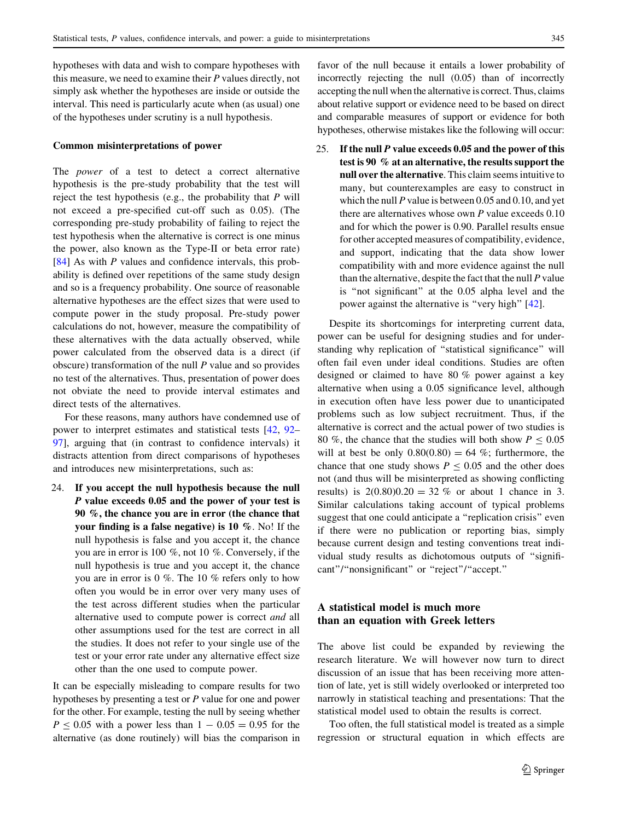hypotheses with data and wish to compare hypotheses with this measure, we need to examine their  $P$  values directly, not simply ask whether the hypotheses are inside or outside the interval. This need is particularly acute when (as usual) one of the hypotheses under scrutiny is a null hypothesis.

#### Common misinterpretations of power

The *power* of a test to detect a correct alternative hypothesis is the pre-study probability that the test will reject the test hypothesis (e.g., the probability that  $P$  will not exceed a pre-specified cut-off such as 0.05). (The corresponding pre-study probability of failing to reject the test hypothesis when the alternative is correct is one minus the power, also known as the Type-II or beta error rate)  $[84]$  $[84]$  As with P values and confidence intervals, this probability is defined over repetitions of the same study design and so is a frequency probability. One source of reasonable alternative hypotheses are the effect sizes that were used to compute power in the study proposal. Pre-study power calculations do not, however, measure the compatibility of these alternatives with the data actually observed, while power calculated from the observed data is a direct (if obscure) transformation of the null P value and so provides no test of the alternatives. Thus, presentation of power does not obviate the need to provide interval estimates and direct tests of the alternatives.

For these reasons, many authors have condemned use of power to interpret estimates and statistical tests [[42,](#page-11-0) [92](#page-12-0)– [97](#page-12-0)], arguing that (in contrast to confidence intervals) it distracts attention from direct comparisons of hypotheses and introduces new misinterpretations, such as:

24. If you accept the null hypothesis because the null P value exceeds 0.05 and the power of your test is 90 %, the chance you are in error (the chance that your finding is a false negative) is 10 %. No! If the null hypothesis is false and you accept it, the chance you are in error is 100 %, not 10 %. Conversely, if the null hypothesis is true and you accept it, the chance you are in error is 0 %. The 10 % refers only to how often you would be in error over very many uses of the test across different studies when the particular alternative used to compute power is correct and all other assumptions used for the test are correct in all the studies. It does not refer to your single use of the test or your error rate under any alternative effect size other than the one used to compute power.

It can be especially misleading to compare results for two hypotheses by presenting a test or P value for one and power for the other. For example, testing the null by seeing whether  $P \le 0.05$  with a power less than  $1 - 0.05 = 0.95$  for the alternative (as done routinely) will bias the comparison in favor of the null because it entails a lower probability of incorrectly rejecting the null (0.05) than of incorrectly accepting the null when the alternative is correct. Thus, claims about relative support or evidence need to be based on direct and comparable measures of support or evidence for both hypotheses, otherwise mistakes like the following will occur:

25. If the null P value exceeds 0.05 and the power of this test is 90 % at an alternative, the results support the null over the alternative. This claim seems intuitive to many, but counterexamples are easy to construct in which the null  $P$  value is between 0.05 and 0.10, and yet there are alternatives whose own  $P$  value exceeds  $0.10$ and for which the power is 0.90. Parallel results ensue for other accepted measures of compatibility, evidence, and support, indicating that the data show lower compatibility with and more evidence against the null than the alternative, despite the fact that the null  $P$  value is ''not significant'' at the 0.05 alpha level and the power against the alternative is "very high" [\[42](#page-11-0)].

Despite its shortcomings for interpreting current data, power can be useful for designing studies and for understanding why replication of ''statistical significance'' will often fail even under ideal conditions. Studies are often designed or claimed to have 80 % power against a key alternative when using a 0.05 significance level, although in execution often have less power due to unanticipated problems such as low subject recruitment. Thus, if the alternative is correct and the actual power of two studies is 80 %, the chance that the studies will both show  $P < 0.05$ will at best be only  $0.80(0.80) = 64$  %; furthermore, the chance that one study shows  $P \le 0.05$  and the other does not (and thus will be misinterpreted as showing conflicting results) is  $2(0.80)0.20 = 32 \%$  or about 1 chance in 3. Similar calculations taking account of typical problems suggest that one could anticipate a ''replication crisis'' even if there were no publication or reporting bias, simply because current design and testing conventions treat individual study results as dichotomous outputs of ''significant"/"nonsignificant" or "reject"/"accept."

## A statistical model is much more than an equation with Greek letters

The above list could be expanded by reviewing the research literature. We will however now turn to direct discussion of an issue that has been receiving more attention of late, yet is still widely overlooked or interpreted too narrowly in statistical teaching and presentations: That the statistical model used to obtain the results is correct.

Too often, the full statistical model is treated as a simple regression or structural equation in which effects are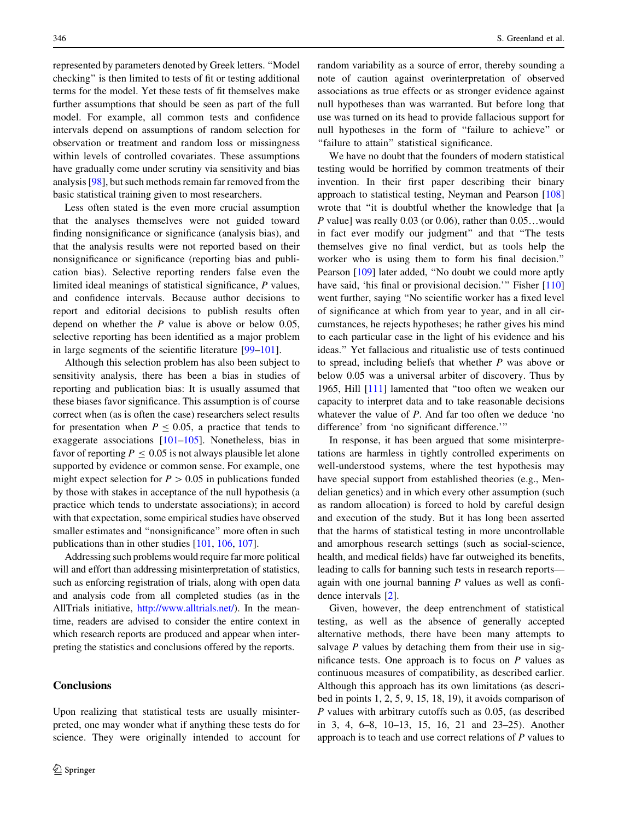represented by parameters denoted by Greek letters. ''Model checking'' is then limited to tests of fit or testing additional terms for the model. Yet these tests of fit themselves make further assumptions that should be seen as part of the full model. For example, all common tests and confidence intervals depend on assumptions of random selection for observation or treatment and random loss or missingness within levels of controlled covariates. These assumptions have gradually come under scrutiny via sensitivity and bias analysis [\[98](#page-12-0)], but such methods remain far removed from the basic statistical training given to most researchers.

Less often stated is the even more crucial assumption that the analyses themselves were not guided toward finding nonsignificance or significance (analysis bias), and that the analysis results were not reported based on their nonsignificance or significance (reporting bias and publication bias). Selective reporting renders false even the limited ideal meanings of statistical significance, P values, and confidence intervals. Because author decisions to report and editorial decisions to publish results often depend on whether the P value is above or below 0.05, selective reporting has been identified as a major problem in large segments of the scientific literature [[99–101\]](#page-13-0).

Although this selection problem has also been subject to sensitivity analysis, there has been a bias in studies of reporting and publication bias: It is usually assumed that these biases favor significance. This assumption is of course correct when (as is often the case) researchers select results for presentation when  $P \le 0.05$ , a practice that tends to exaggerate associations [[101–105\]](#page-13-0). Nonetheless, bias in favor of reporting  $P \le 0.05$  is not always plausible let alone supported by evidence or common sense. For example, one might expect selection for  $P > 0.05$  in publications funded by those with stakes in acceptance of the null hypothesis (a practice which tends to understate associations); in accord with that expectation, some empirical studies have observed smaller estimates and ''nonsignificance'' more often in such publications than in other studies [\[101](#page-13-0), [106](#page-13-0), [107](#page-13-0)].

Addressing such problems would require far more political will and effort than addressing misinterpretation of statistics, such as enforcing registration of trials, along with open data and analysis code from all completed studies (as in the AllTrials initiative, [http://www.alltrials.net/\)](http://www.alltrials.net/). In the meantime, readers are advised to consider the entire context in which research reports are produced and appear when interpreting the statistics and conclusions offered by the reports.

## **Conclusions**

Upon realizing that statistical tests are usually misinterpreted, one may wonder what if anything these tests do for science. They were originally intended to account for random variability as a source of error, thereby sounding a note of caution against overinterpretation of observed associations as true effects or as stronger evidence against null hypotheses than was warranted. But before long that use was turned on its head to provide fallacious support for null hypotheses in the form of ''failure to achieve'' or ''failure to attain'' statistical significance.

We have no doubt that the founders of modern statistical testing would be horrified by common treatments of their invention. In their first paper describing their binary approach to statistical testing, Neyman and Pearson [[108\]](#page-13-0) wrote that "it is doubtful whether the knowledge that [a P value] was really 0.03 (or 0.06), rather than 0.05…would in fact ever modify our judgment'' and that ''The tests themselves give no final verdict, but as tools help the worker who is using them to form his final decision.'' Pearson [[109\]](#page-13-0) later added, "No doubt we could more aptly have said, 'his final or provisional decision.'" Fisher [[110\]](#page-13-0) went further, saying ''No scientific worker has a fixed level of significance at which from year to year, and in all circumstances, he rejects hypotheses; he rather gives his mind to each particular case in the light of his evidence and his ideas.'' Yet fallacious and ritualistic use of tests continued to spread, including beliefs that whether P was above or below 0.05 was a universal arbiter of discovery. Thus by 1965, Hill [[111\]](#page-13-0) lamented that ''too often we weaken our capacity to interpret data and to take reasonable decisions whatever the value of P. And far too often we deduce 'no difference' from 'no significant difference.'''

In response, it has been argued that some misinterpretations are harmless in tightly controlled experiments on well-understood systems, where the test hypothesis may have special support from established theories (e.g., Mendelian genetics) and in which every other assumption (such as random allocation) is forced to hold by careful design and execution of the study. But it has long been asserted that the harms of statistical testing in more uncontrollable and amorphous research settings (such as social-science, health, and medical fields) have far outweighed its benefits, leading to calls for banning such tests in research reports again with one journal banning  $P$  values as well as confidence intervals [\[2\]](#page-11-0).

Given, however, the deep entrenchment of statistical testing, as well as the absence of generally accepted alternative methods, there have been many attempts to salvage  $P$  values by detaching them from their use in significance tests. One approach is to focus on  $P$  values as continuous measures of compatibility, as described earlier. Although this approach has its own limitations (as described in points 1, 2, 5, 9, 15, 18, 19), it avoids comparison of P values with arbitrary cutoffs such as 0.05, (as described in 3, 4, 6–8, 10–13, 15, 16, 21 and 23–25). Another approach is to teach and use correct relations of P values to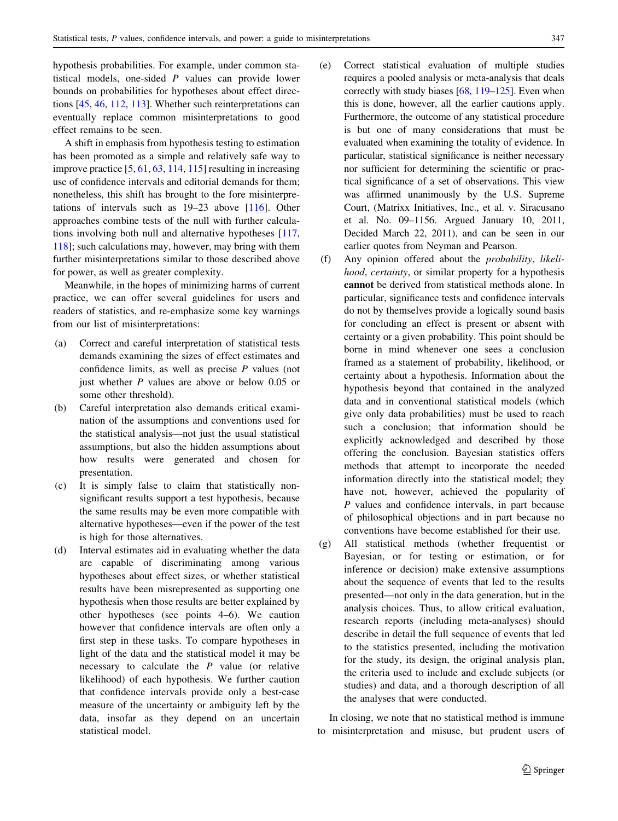hypothesis probabilities. For example, under common statistical models, one-sided P values can provide lower bounds on probabilities for hypotheses about effect directions [\[45](#page-12-0), [46](#page-12-0), [112](#page-13-0), [113\]](#page-13-0). Whether such reinterpretations can eventually replace common misinterpretations to good effect remains to be seen.

A shift in emphasis from hypothesis testing to estimation has been promoted as a simple and relatively safe way to improve practice  $[5, 61, 63, 114, 115]$  $[5, 61, 63, 114, 115]$  $[5, 61, 63, 114, 115]$  $[5, 61, 63, 114, 115]$  $[5, 61, 63, 114, 115]$  $[5, 61, 63, 114, 115]$  $[5, 61, 63, 114, 115]$  $[5, 61, 63, 114, 115]$  $[5, 61, 63, 114, 115]$  resulting in increasing use of confidence intervals and editorial demands for them; nonetheless, this shift has brought to the fore misinterpretations of intervals such as 19–23 above [[116\]](#page-13-0). Other approaches combine tests of the null with further calculations involving both null and alternative hypotheses [[117,](#page-13-0) [118\]](#page-13-0); such calculations may, however, may bring with them further misinterpretations similar to those described above for power, as well as greater complexity.

Meanwhile, in the hopes of minimizing harms of current practice, we can offer several guidelines for users and readers of statistics, and re-emphasize some key warnings from our list of misinterpretations:

- (a) Correct and careful interpretation of statistical tests demands examining the sizes of effect estimates and confidence limits, as well as precise P values (not just whether P values are above or below 0.05 or some other threshold).
- (b) Careful interpretation also demands critical examination of the assumptions and conventions used for the statistical analysis—not just the usual statistical assumptions, but also the hidden assumptions about how results were generated and chosen for presentation.
- (c) It is simply false to claim that statistically nonsignificant results support a test hypothesis, because the same results may be even more compatible with alternative hypotheses—even if the power of the test is high for those alternatives.
- (d) Interval estimates aid in evaluating whether the data are capable of discriminating among various hypotheses about effect sizes, or whether statistical results have been misrepresented as supporting one hypothesis when those results are better explained by other hypotheses (see points 4–6). We caution however that confidence intervals are often only a first step in these tasks. To compare hypotheses in light of the data and the statistical model it may be necessary to calculate the  $P$  value (or relative likelihood) of each hypothesis. We further caution that confidence intervals provide only a best-case measure of the uncertainty or ambiguity left by the data, insofar as they depend on an uncertain statistical model.
- (e) Correct statistical evaluation of multiple studies requires a pooled analysis or meta-analysis that deals correctly with study biases [[68](#page-12-0), [119–125\]](#page-13-0). Even when this is done, however, all the earlier cautions apply. Furthermore, the outcome of any statistical procedure is but one of many considerations that must be evaluated when examining the totality of evidence. In particular, statistical significance is neither necessary nor sufficient for determining the scientific or practical significance of a set of observations. This view was affirmed unanimously by the U.S. Supreme Court, (Matrixx Initiatives, Inc., et al. v. Siracusano et al. No. 09–1156. Argued January 10, 2011, Decided March 22, 2011), and can be seen in our earlier quotes from Neyman and Pearson.
- (f) Any opinion offered about the probability, likelihood, certainty, or similar property for a hypothesis cannot be derived from statistical methods alone. In particular, significance tests and confidence intervals do not by themselves provide a logically sound basis for concluding an effect is present or absent with certainty or a given probability. This point should be borne in mind whenever one sees a conclusion framed as a statement of probability, likelihood, or certainty about a hypothesis. Information about the hypothesis beyond that contained in the analyzed data and in conventional statistical models (which give only data probabilities) must be used to reach such a conclusion; that information should be explicitly acknowledged and described by those offering the conclusion. Bayesian statistics offers methods that attempt to incorporate the needed information directly into the statistical model; they have not, however, achieved the popularity of P values and confidence intervals, in part because of philosophical objections and in part because no conventions have become established for their use.
- (g) All statistical methods (whether frequentist or Bayesian, or for testing or estimation, or for inference or decision) make extensive assumptions about the sequence of events that led to the results presented—not only in the data generation, but in the analysis choices. Thus, to allow critical evaluation, research reports (including meta-analyses) should describe in detail the full sequence of events that led to the statistics presented, including the motivation for the study, its design, the original analysis plan, the criteria used to include and exclude subjects (or studies) and data, and a thorough description of all the analyses that were conducted.

In closing, we note that no statistical method is immune to misinterpretation and misuse, but prudent users of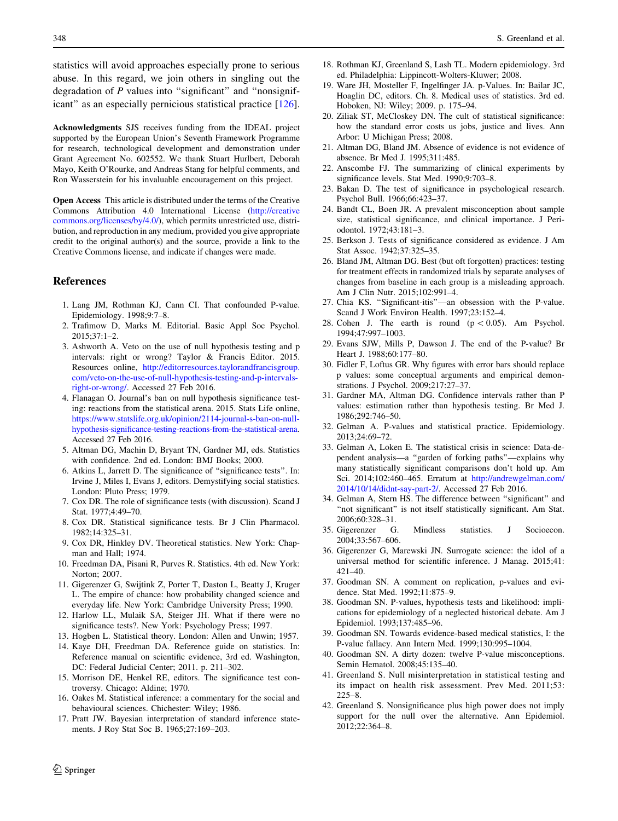<span id="page-11-0"></span>statistics will avoid approaches especially prone to serious abuse. In this regard, we join others in singling out the degradation of  $P$  values into "significant" and "nonsignificant'' as an especially pernicious statistical practice [\[126](#page-13-0)].

Acknowledgments SJS receives funding from the IDEAL project supported by the European Union's Seventh Framework Programme for research, technological development and demonstration under Grant Agreement No. 602552. We thank Stuart Hurlbert, Deborah Mayo, Keith O'Rourke, and Andreas Stang for helpful comments, and Ron Wasserstein for his invaluable encouragement on this project.

Open Access This article is distributed under the terms of the Creative Commons Attribution 4.0 International License ([http://creative](http://creativecommons.org/licenses/by/4.0/) [commons.org/licenses/by/4.0/\)](http://creativecommons.org/licenses/by/4.0/), which permits unrestricted use, distribution, and reproduction in any medium, provided you give appropriate credit to the original author(s) and the source, provide a link to the Creative Commons license, and indicate if changes were made.

#### References

- 1. Lang JM, Rothman KJ, Cann CI. That confounded P-value. Epidemiology. 1998;9:7–8.
- 2. Trafimow D, Marks M. Editorial. Basic Appl Soc Psychol. 2015;37:1–2.
- 3. Ashworth A. Veto on the use of null hypothesis testing and p intervals: right or wrong? Taylor & Francis Editor. 2015. Resources online, [http://editorresources.taylorandfrancisgroup.](http://editorresources.taylorandfrancisgroup.com/veto-on-the-use-of-null-hypothesis-testing-and-p-intervals-right-or-wrong/) [com/veto-on-the-use-of-null-hypothesis-testing-and-p-intervals](http://editorresources.taylorandfrancisgroup.com/veto-on-the-use-of-null-hypothesis-testing-and-p-intervals-right-or-wrong/)[right-or-wrong/](http://editorresources.taylorandfrancisgroup.com/veto-on-the-use-of-null-hypothesis-testing-and-p-intervals-right-or-wrong/). Accessed 27 Feb 2016.
- 4. Flanagan O. Journal's ban on null hypothesis significance testing: reactions from the statistical arena. 2015. Stats Life online, [https://www.statslife.org.uk/opinion/2114-journal-s-ban-on-null](https://www.statslife.org.uk/opinion/2114-journal-s-ban-on-null-hypothesis-significance-testing-reactions-from-the-statistical-arena)[hypothesis-significance-testing-reactions-from-the-statistical-arena.](https://www.statslife.org.uk/opinion/2114-journal-s-ban-on-null-hypothesis-significance-testing-reactions-from-the-statistical-arena) Accessed 27 Feb 2016.
- 5. Altman DG, Machin D, Bryant TN, Gardner MJ, eds. Statistics with confidence. 2nd ed. London: BMJ Books; 2000.
- 6. Atkins L, Jarrett D. The significance of ''significance tests''. In: Irvine J, Miles I, Evans J, editors. Demystifying social statistics. London: Pluto Press; 1979.
- 7. Cox DR. The role of significance tests (with discussion). Scand J Stat. 1977;4:49–70.
- 8. Cox DR. Statistical significance tests. Br J Clin Pharmacol. 1982;14:325–31.
- 9. Cox DR, Hinkley DV. Theoretical statistics. New York: Chapman and Hall; 1974.
- 10. Freedman DA, Pisani R, Purves R. Statistics. 4th ed. New York: Norton; 2007.
- 11. Gigerenzer G, Swijtink Z, Porter T, Daston L, Beatty J, Kruger L. The empire of chance: how probability changed science and everyday life. New York: Cambridge University Press; 1990.
- 12. Harlow LL, Mulaik SA, Steiger JH. What if there were no significance tests?. New York: Psychology Press; 1997.
- 13. Hogben L. Statistical theory. London: Allen and Unwin; 1957.
- 14. Kaye DH, Freedman DA. Reference guide on statistics. In: Reference manual on scientific evidence, 3rd ed. Washington, DC: Federal Judicial Center; 2011. p. 211–302.
- 15. Morrison DE, Henkel RE, editors. The significance test controversy. Chicago: Aldine; 1970.
- 16. Oakes M. Statistical inference: a commentary for the social and behavioural sciences. Chichester: Wiley; 1986.
- 17. Pratt JW. Bayesian interpretation of standard inference statements. J Roy Stat Soc B. 1965;27:169–203.
- 18. Rothman KJ, Greenland S, Lash TL. Modern epidemiology. 3rd ed. Philadelphia: Lippincott-Wolters-Kluwer; 2008.
- 19. Ware JH, Mosteller F, Ingelfinger JA. p-Values. In: Bailar JC, Hoaglin DC, editors. Ch. 8. Medical uses of statistics. 3rd ed. Hoboken, NJ: Wiley; 2009. p. 175–94.
- 20. Ziliak ST, McCloskey DN. The cult of statistical significance: how the standard error costs us jobs, justice and lives. Ann Arbor: U Michigan Press; 2008.
- 21. Altman DG, Bland JM. Absence of evidence is not evidence of absence. Br Med J. 1995;311:485.
- 22. Anscombe FJ. The summarizing of clinical experiments by significance levels. Stat Med. 1990;9:703–8.
- 23. Bakan D. The test of significance in psychological research. Psychol Bull. 1966;66:423–37.
- 24. Bandt CL, Boen JR. A prevalent misconception about sample size, statistical significance, and clinical importance. J Periodontol. 1972;43:181–3.
- 25. Berkson J. Tests of significance considered as evidence. J Am Stat Assoc. 1942;37:325–35.
- 26. Bland JM, Altman DG. Best (but oft forgotten) practices: testing for treatment effects in randomized trials by separate analyses of changes from baseline in each group is a misleading approach. Am J Clin Nutr. 2015;102:991–4.
- 27. Chia KS. ''Significant-itis''—an obsession with the P-value. Scand J Work Environ Health. 1997;23:152–4.
- 28. Cohen J. The earth is round  $(p < 0.05)$ . Am Psychol. 1994;47:997–1003.
- 29. Evans SJW, Mills P, Dawson J. The end of the P-value? Br Heart J. 1988;60:177–80.
- 30. Fidler F, Loftus GR. Why figures with error bars should replace p values: some conceptual arguments and empirical demonstrations. J Psychol. 2009;217:27–37.
- 31. Gardner MA, Altman DG. Confidence intervals rather than P values: estimation rather than hypothesis testing. Br Med J. 1986;292:746–50.
- 32. Gelman A. P-values and statistical practice. Epidemiology. 2013;24:69–72.
- 33. Gelman A, Loken E. The statistical crisis in science: Data-dependent analysis—a ''garden of forking paths''—explains why many statistically significant comparisons don't hold up. Am Sci. 2014;102:460–465. Erratum at [http://andrewgelman.com/](http://andrewgelman.com/2014/10/14/didnt-say-part-2/) [2014/10/14/didnt-say-part-2/.](http://andrewgelman.com/2014/10/14/didnt-say-part-2/) Accessed 27 Feb 2016.
- 34. Gelman A, Stern HS. The difference between ''significant'' and "not significant" is not itself statistically significant. Am Stat. 2006;60:328–31.
- 35. Gigerenzer G. Mindless statistics. J Socioecon. 2004;33:567–606.
- 36. Gigerenzer G, Marewski JN. Surrogate science: the idol of a universal method for scientific inference. J Manag. 2015;41: 421–40.
- 37. Goodman SN. A comment on replication, p-values and evidence. Stat Med. 1992;11:875–9.
- 38. Goodman SN. P-values, hypothesis tests and likelihood: implications for epidemiology of a neglected historical debate. Am J Epidemiol. 1993;137:485–96.
- 39. Goodman SN. Towards evidence-based medical statistics, I: the P-value fallacy. Ann Intern Med. 1999;130:995–1004.
- 40. Goodman SN. A dirty dozen: twelve P-value misconceptions. Semin Hematol. 2008;45:135–40.
- 41. Greenland S. Null misinterpretation in statistical testing and its impact on health risk assessment. Prev Med. 2011;53: 225–8.
- 42. Greenland S. Nonsignificance plus high power does not imply support for the null over the alternative. Ann Epidemiol. 2012;22:364–8.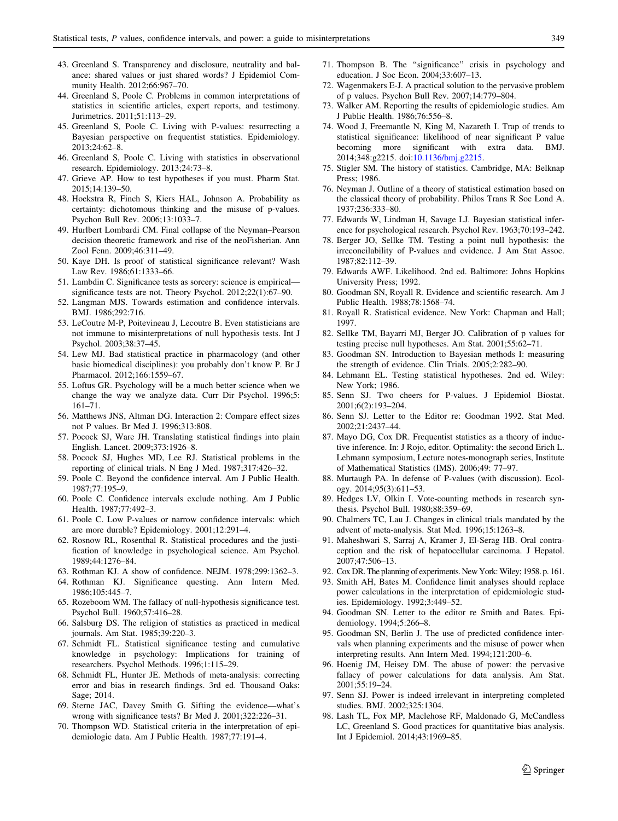- <span id="page-12-0"></span>43. Greenland S. Transparency and disclosure, neutrality and balance: shared values or just shared words? J Epidemiol Community Health. 2012;66:967–70.
- 44. Greenland S, Poole C. Problems in common interpretations of statistics in scientific articles, expert reports, and testimony. Jurimetrics. 2011;51:113–29.
- 45. Greenland S, Poole C. Living with P-values: resurrecting a Bayesian perspective on frequentist statistics. Epidemiology. 2013;24:62–8.
- 46. Greenland S, Poole C. Living with statistics in observational research. Epidemiology. 2013;24:73–8.
- 47. Grieve AP. How to test hypotheses if you must. Pharm Stat. 2015;14:139–50.
- 48. Hoekstra R, Finch S, Kiers HAL, Johnson A. Probability as certainty: dichotomous thinking and the misuse of p-values. Psychon Bull Rev. 2006;13:1033–7.
- 49. Hurlbert Lombardi CM. Final collapse of the Neyman–Pearson decision theoretic framework and rise of the neoFisherian. Ann Zool Fenn. 2009;46:311–49.
- 50. Kaye DH. Is proof of statistical significance relevant? Wash Law Rev. 1986;61:1333–66.
- 51. Lambdin C. Significance tests as sorcery: science is empirical significance tests are not. Theory Psychol. 2012;22(1):67–90.
- 52. Langman MJS. Towards estimation and confidence intervals. BMJ. 1986;292:716.
- 53. LeCoutre M-P, Poitevineau J, Lecoutre B. Even statisticians are not immune to misinterpretations of null hypothesis tests. Int J Psychol. 2003;38:37–45.
- 54. Lew MJ. Bad statistical practice in pharmacology (and other basic biomedical disciplines): you probably don't know P. Br J Pharmacol. 2012;166:1559–67.
- 55. Loftus GR. Psychology will be a much better science when we change the way we analyze data. Curr Dir Psychol. 1996;5: 161–71.
- 56. Matthews JNS, Altman DG. Interaction 2: Compare effect sizes not P values. Br Med J. 1996;313:808.
- 57. Pocock SJ, Ware JH. Translating statistical findings into plain English. Lancet. 2009;373:1926–8.
- 58. Pocock SJ, Hughes MD, Lee RJ. Statistical problems in the reporting of clinical trials. N Eng J Med. 1987;317:426–32.
- 59. Poole C. Beyond the confidence interval. Am J Public Health. 1987;77:195–9.
- 60. Poole C. Confidence intervals exclude nothing. Am J Public Health. 1987;77:492–3.
- 61. Poole C. Low P-values or narrow confidence intervals: which are more durable? Epidemiology. 2001;12:291–4.
- 62. Rosnow RL, Rosenthal R. Statistical procedures and the justification of knowledge in psychological science. Am Psychol. 1989;44:1276–84.
- 63. Rothman KJ. A show of confidence. NEJM. 1978;299:1362–3.
- 64. Rothman KJ. Significance questing. Ann Intern Med. 1986;105:445–7.
- 65. Rozeboom WM. The fallacy of null-hypothesis significance test. Psychol Bull. 1960;57:416–28.
- 66. Salsburg DS. The religion of statistics as practiced in medical journals. Am Stat. 1985;39:220–3.
- 67. Schmidt FL. Statistical significance testing and cumulative knowledge in psychology: Implications for training of researchers. Psychol Methods. 1996;1:115–29.
- 68. Schmidt FL, Hunter JE. Methods of meta-analysis: correcting error and bias in research findings. 3rd ed. Thousand Oaks: Sage; 2014.
- 69. Sterne JAC, Davey Smith G. Sifting the evidence—what's wrong with significance tests? Br Med J. 2001;322:226–31.
- 70. Thompson WD. Statistical criteria in the interpretation of epidemiologic data. Am J Public Health. 1987;77:191–4.
- 71. Thompson B. The ''significance'' crisis in psychology and education. J Soc Econ. 2004;33:607–13.
- 72. Wagenmakers E-J. A practical solution to the pervasive problem of p values. Psychon Bull Rev. 2007;14:779–804.
- 73. Walker AM. Reporting the results of epidemiologic studies. Am J Public Health. 1986;76:556–8.
- 74. Wood J, Freemantle N, King M, Nazareth I. Trap of trends to statistical significance: likelihood of near significant P value becoming more significant with extra data. BMJ. 2014;348:g2215. doi[:10.1136/bmj.g2215.](http://dx.doi.org/10.1136/bmj.g2215)
- 75. Stigler SM. The history of statistics. Cambridge, MA: Belknap Press; 1986.
- 76. Neyman J. Outline of a theory of statistical estimation based on the classical theory of probability. Philos Trans R Soc Lond A. 1937;236:333–80.
- 77. Edwards W, Lindman H, Savage LJ. Bayesian statistical inference for psychological research. Psychol Rev. 1963;70:193–242.
- 78. Berger JO, Sellke TM. Testing a point null hypothesis: the irreconcilability of P-values and evidence. J Am Stat Assoc. 1987;82:112–39.
- 79. Edwards AWF. Likelihood. 2nd ed. Baltimore: Johns Hopkins University Press; 1992.
- 80. Goodman SN, Royall R. Evidence and scientific research. Am J Public Health. 1988;78:1568–74.
- 81. Royall R. Statistical evidence. New York: Chapman and Hall; 1997.
- 82. Sellke TM, Bayarri MJ, Berger JO. Calibration of p values for testing precise null hypotheses. Am Stat. 2001;55:62–71.
- Goodman SN. Introduction to Bayesian methods I: measuring the strength of evidence. Clin Trials. 2005;2:282–90.
- 84. Lehmann EL. Testing statistical hypotheses. 2nd ed. Wiley: New York; 1986.
- 85. Senn SJ. Two cheers for P-values. J Epidemiol Biostat. 2001;6(2):193–204.
- 86. Senn SJ. Letter to the Editor re: Goodman 1992. Stat Med. 2002;21:2437–44.
- 87. Mayo DG, Cox DR. Frequentist statistics as a theory of inductive inference. In: J Rojo, editor. Optimality: the second Erich L. Lehmann symposium, Lecture notes-monograph series, Institute of Mathematical Statistics (IMS). 2006;49: 77–97.
- 88. Murtaugh PA. In defense of P-values (with discussion). Ecology. 2014;95(3):611–53.
- 89. Hedges LV, Olkin I. Vote-counting methods in research synthesis. Psychol Bull. 1980;88:359–69.
- 90. Chalmers TC, Lau J. Changes in clinical trials mandated by the advent of meta-analysis. Stat Med. 1996;15:1263–8.
- 91. Maheshwari S, Sarraj A, Kramer J, El-Serag HB. Oral contraception and the risk of hepatocellular carcinoma. J Hepatol. 2007;47:506–13.
- 92. Cox DR. The planning of experiments. New York: Wiley; 1958. p. 161.
- 93. Smith AH, Bates M. Confidence limit analyses should replace power calculations in the interpretation of epidemiologic studies. Epidemiology. 1992;3:449–52.
- 94. Goodman SN. Letter to the editor re Smith and Bates. Epidemiology. 1994;5:266–8.
- 95. Goodman SN, Berlin J. The use of predicted confidence intervals when planning experiments and the misuse of power when interpreting results. Ann Intern Med. 1994;121:200–6.
- 96. Hoenig JM, Heisey DM. The abuse of power: the pervasive fallacy of power calculations for data analysis. Am Stat. 2001;55:19–24.
- 97. Senn SJ. Power is indeed irrelevant in interpreting completed studies. BMJ. 2002;325:1304.
- 98. Lash TL, Fox MP, Maclehose RF, Maldonado G, McCandless LC, Greenland S. Good practices for quantitative bias analysis. Int J Epidemiol. 2014;43:1969–85.